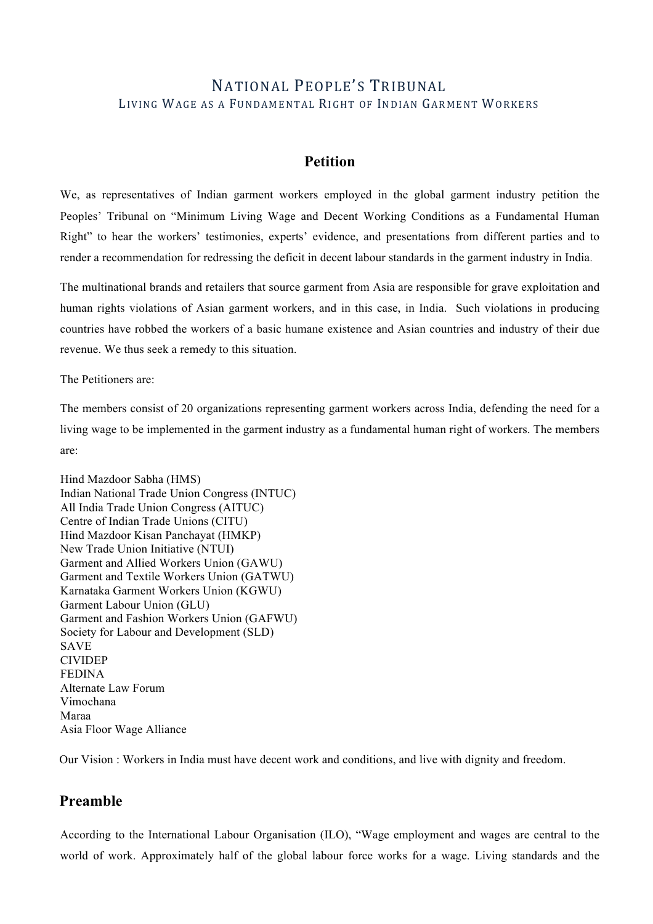# NATIONAL PEOPLE'S TRIBUNAL LIVING WAGE AS A FUNDAMENTAL RIGHT OF INDIAN GARMENT WORKERS

## **Petition**

We, as representatives of Indian garment workers employed in the global garment industry petition the Peoples' Tribunal on "Minimum Living Wage and Decent Working Conditions as a Fundamental Human Right" to hear the workers' testimonies, experts' evidence, and presentations from different parties and to render a recommendation for redressing the deficit in decent labour standards in the garment industry in India.

The multinational brands and retailers that source garment from Asia are responsible for grave exploitation and human rights violations of Asian garment workers, and in this case, in India. Such violations in producing countries have robbed the workers of a basic humane existence and Asian countries and industry of their due revenue. We thus seek a remedy to this situation.

The Petitioners are:

The members consist of 20 organizations representing garment workers across India, defending the need for a living wage to be implemented in the garment industry as a fundamental human right of workers. The members are:

Hind Mazdoor Sabha (HMS) Indian National Trade Union Congress (INTUC) All India Trade Union Congress (AITUC) Centre of Indian Trade Unions (CITU) Hind Mazdoor Kisan Panchayat (HMKP) New Trade Union Initiative (NTUI) Garment and Allied Workers Union (GAWU) Garment and Textile Workers Union (GATWU) Karnataka Garment Workers Union (KGWU) Garment Labour Union (GLU) Garment and Fashion Workers Union (GAFWU) Society for Labour and Development (SLD) SAVE CIVIDEP FEDINA Alternate Law Forum Vimochana Maraa Asia Floor Wage Alliance

Our Vision : Workers in India must have decent work and conditions, and live with dignity and freedom.

# **Preamble**

According to the International Labour Organisation (ILO), "Wage employment and wages are central to the world of work. Approximately half of the global labour force works for a wage. Living standards and the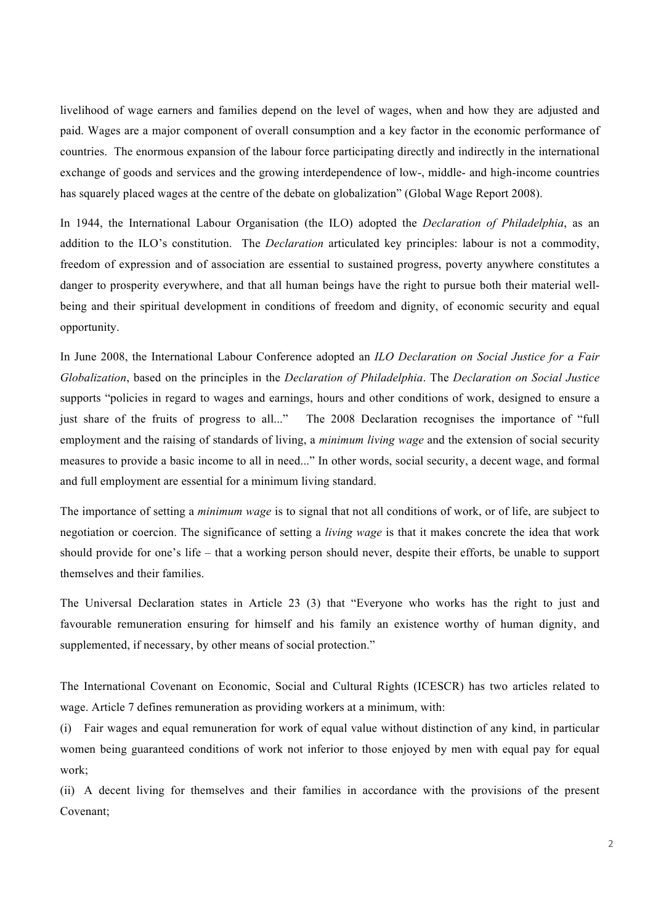livelihood of wage earners and families depend on the level of wages, when and how they are adjusted and paid. Wages are a major component of overall consumption and a key factor in the economic performance of countries. The enormous expansion of the labour force participating directly and indirectly in the international exchange of goods and services and the growing interdependence of low-, middle- and high-income countries has squarely placed wages at the centre of the debate on globalization" (Global Wage Report 2008).

In 1944, the International Labour Organisation (the ILO) adopted the *Declaration of Philadelphia*, as an addition to the ILO's constitution. The *Declaration* articulated key principles: labour is not a commodity, freedom of expression and of association are essential to sustained progress, poverty anywhere constitutes a danger to prosperity everywhere, and that all human beings have the right to pursue both their material wellbeing and their spiritual development in conditions of freedom and dignity, of economic security and equal opportunity.

In June 2008, the International Labour Conference adopted an *ILO Declaration on Social Justice for a Fair Globalization*, based on the principles in the *Declaration of Philadelphia*. The *Declaration on Social Justice* supports "policies in regard to wages and earnings, hours and other conditions of work, designed to ensure a just share of the fruits of progress to all..." The 2008 Declaration recognises the importance of "full employment and the raising of standards of living, a *minimum living wage* and the extension of social security measures to provide a basic income to all in need..." In other words, social security, a decent wage, and formal and full employment are essential for a minimum living standard.

The importance of setting a *minimum wage* is to signal that not all conditions of work, or of life, are subject to negotiation or coercion. The significance of setting a *living wage* is that it makes concrete the idea that work should provide for one's life – that a working person should never, despite their efforts, be unable to support themselves and their families.

The Universal Declaration states in Article 23 (3) that "Everyone who works has the right to just and favourable remuneration ensuring for himself and his family an existence worthy of human dignity, and supplemented, if necessary, by other means of social protection."

The International Covenant on Economic, Social and Cultural Rights (ICESCR) has two articles related to wage. Article 7 defines remuneration as providing workers at a minimum, with:

(i) Fair wages and equal remuneration for work of equal value without distinction of any kind, in particular women being guaranteed conditions of work not inferior to those enjoyed by men with equal pay for equal work;

(ii) A decent living for themselves and their families in accordance with the provisions of the present Covenant;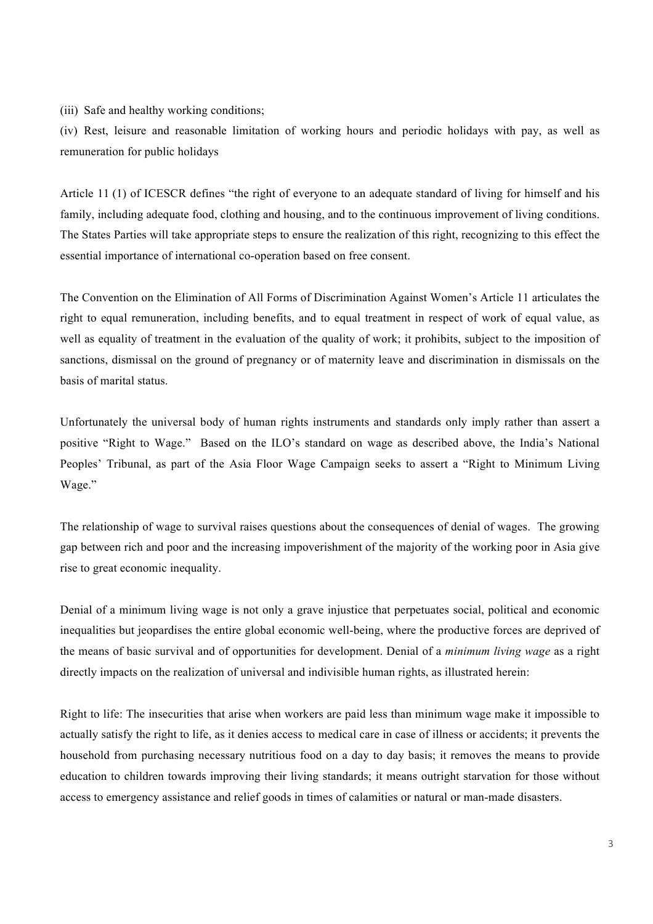(iii) Safe and healthy working conditions;

(iv) Rest, leisure and reasonable limitation of working hours and periodic holidays with pay, as well as remuneration for public holidays

Article 11 (1) of ICESCR defines "the right of everyone to an adequate standard of living for himself and his family, including adequate food, clothing and housing, and to the continuous improvement of living conditions. The States Parties will take appropriate steps to ensure the realization of this right, recognizing to this effect the essential importance of international co-operation based on free consent.

The Convention on the Elimination of All Forms of Discrimination Against Women's Article 11 articulates the right to equal remuneration, including benefits, and to equal treatment in respect of work of equal value, as well as equality of treatment in the evaluation of the quality of work; it prohibits, subject to the imposition of sanctions, dismissal on the ground of pregnancy or of maternity leave and discrimination in dismissals on the basis of marital status.

Unfortunately the universal body of human rights instruments and standards only imply rather than assert a positive "Right to Wage." Based on the ILO's standard on wage as described above, the India's National Peoples' Tribunal, as part of the Asia Floor Wage Campaign seeks to assert a "Right to Minimum Living Wage."

The relationship of wage to survival raises questions about the consequences of denial of wages. The growing gap between rich and poor and the increasing impoverishment of the majority of the working poor in Asia give rise to great economic inequality.

Denial of a minimum living wage is not only a grave injustice that perpetuates social, political and economic inequalities but jeopardises the entire global economic well-being, where the productive forces are deprived of the means of basic survival and of opportunities for development. Denial of a *minimum living wage* as a right directly impacts on the realization of universal and indivisible human rights, as illustrated herein:

Right to life: The insecurities that arise when workers are paid less than minimum wage make it impossible to actually satisfy the right to life, as it denies access to medical care in case of illness or accidents; it prevents the household from purchasing necessary nutritious food on a day to day basis; it removes the means to provide education to children towards improving their living standards; it means outright starvation for those without access to emergency assistance and relief goods in times of calamities or natural or man-made disasters.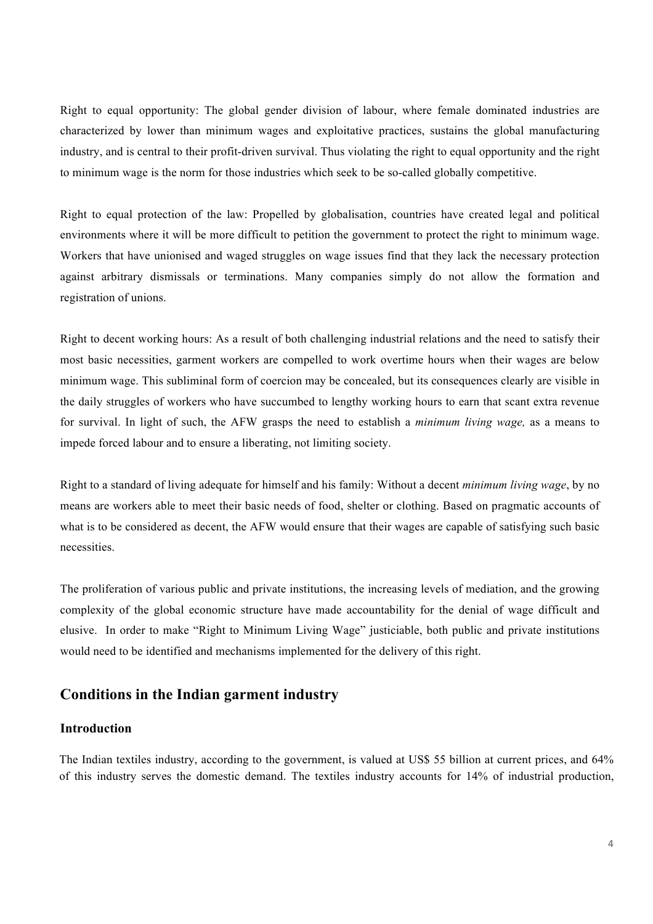Right to equal opportunity: The global gender division of labour, where female dominated industries are characterized by lower than minimum wages and exploitative practices, sustains the global manufacturing industry, and is central to their profit-driven survival. Thus violating the right to equal opportunity and the right to minimum wage is the norm for those industries which seek to be so-called globally competitive.

Right to equal protection of the law: Propelled by globalisation, countries have created legal and political environments where it will be more difficult to petition the government to protect the right to minimum wage. Workers that have unionised and waged struggles on wage issues find that they lack the necessary protection against arbitrary dismissals or terminations. Many companies simply do not allow the formation and registration of unions.

Right to decent working hours: As a result of both challenging industrial relations and the need to satisfy their most basic necessities, garment workers are compelled to work overtime hours when their wages are below minimum wage. This subliminal form of coercion may be concealed, but its consequences clearly are visible in the daily struggles of workers who have succumbed to lengthy working hours to earn that scant extra revenue for survival. In light of such, the AFW grasps the need to establish a *minimum living wage,* as a means to impede forced labour and to ensure a liberating, not limiting society.

Right to a standard of living adequate for himself and his family: Without a decent *minimum living wage*, by no means are workers able to meet their basic needs of food, shelter or clothing. Based on pragmatic accounts of what is to be considered as decent, the AFW would ensure that their wages are capable of satisfying such basic necessities.

The proliferation of various public and private institutions, the increasing levels of mediation, and the growing complexity of the global economic structure have made accountability for the denial of wage difficult and elusive. In order to make "Right to Minimum Living Wage" justiciable, both public and private institutions would need to be identified and mechanisms implemented for the delivery of this right.

#### **Conditions in the Indian garment industry**

### **Introduction**

The Indian textiles industry, according to the government, is valued at US\$ 55 billion at current prices, and 64% of this industry serves the domestic demand. The textiles industry accounts for 14% of industrial production,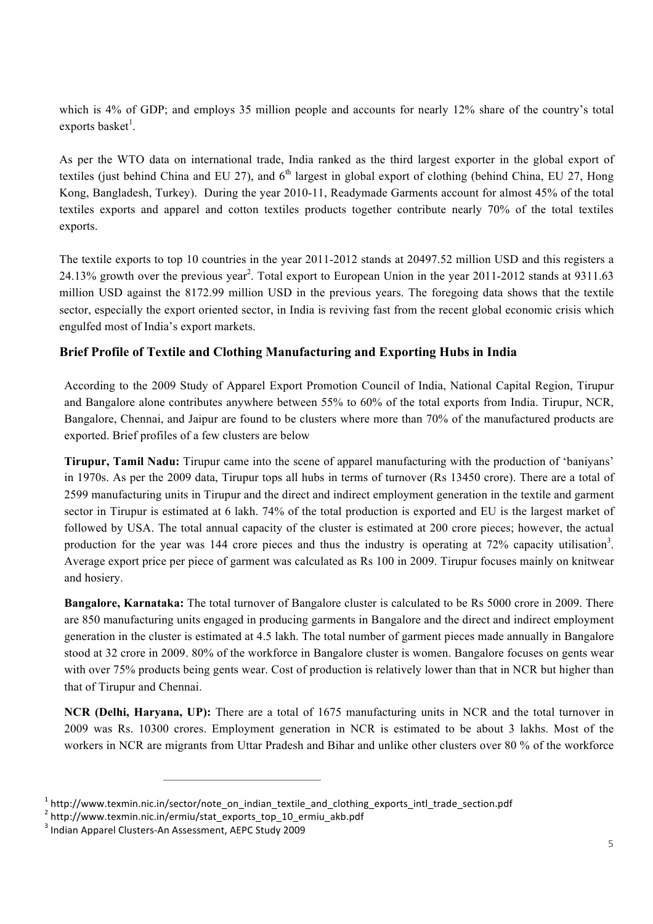which is 4% of GDP; and employs 35 million people and accounts for nearly 12% share of the country's total exports basket<sup>1</sup>.

As per the WTO data on international trade, India ranked as the third largest exporter in the global export of textiles (just behind China and EU 27), and  $6<sup>th</sup>$  largest in global export of clothing (behind China, EU 27, Hong Kong, Bangladesh, Turkey). During the year 2010-11, Readymade Garments account for almost 45% of the total textiles exports and apparel and cotton textiles products together contribute nearly 70% of the total textiles exports.

The textile exports to top 10 countries in the year 2011-2012 stands at 20497.52 million USD and this registers a 24.13% growth over the previous year<sup>2</sup>. Total export to European Union in the year 2011-2012 stands at 9311.63 million USD against the 8172.99 million USD in the previous years. The foregoing data shows that the textile sector, especially the export oriented sector, in India is reviving fast from the recent global economic crisis which engulfed most of India's export markets.

# **Brief Profile of Textile and Clothing Manufacturing and Exporting Hubs in India**

According to the 2009 Study of Apparel Export Promotion Council of India, National Capital Region, Tirupur and Bangalore alone contributes anywhere between 55% to 60% of the total exports from India. Tirupur, NCR, Bangalore, Chennai, and Jaipur are found to be clusters where more than 70% of the manufactured products are exported. Brief profiles of a few clusters are below

**Tirupur, Tamil Nadu:** Tirupur came into the scene of apparel manufacturing with the production of 'baniyans' in 1970s. As per the 2009 data, Tirupur tops all hubs in terms of turnover (Rs 13450 crore). There are a total of 2599 manufacturing units in Tirupur and the direct and indirect employment generation in the textile and garment sector in Tirupur is estimated at 6 lakh. 74% of the total production is exported and EU is the largest market of followed by USA. The total annual capacity of the cluster is estimated at 200 crore pieces; however, the actual production for the year was 144 crore pieces and thus the industry is operating at 72% capacity utilisation<sup>3</sup>. Average export price per piece of garment was calculated as Rs 100 in 2009. Tirupur focuses mainly on knitwear and hosiery.

**Bangalore, Karnataka:** The total turnover of Bangalore cluster is calculated to be Rs 5000 crore in 2009. There are 850 manufacturing units engaged in producing garments in Bangalore and the direct and indirect employment generation in the cluster is estimated at 4.5 lakh. The total number of garment pieces made annually in Bangalore stood at 32 crore in 2009. 80% of the workforce in Bangalore cluster is women. Bangalore focuses on gents wear with over 75% products being gents wear. Cost of production is relatively lower than that in NCR but higher than that of Tirupur and Chennai.

**NCR (Delhi, Haryana, UP):** There are a total of 1675 manufacturing units in NCR and the total turnover in 2009 was Rs. 10300 crores. Employment generation in NCR is estimated to be about 3 lakhs. Most of the workers in NCR are migrants from Uttar Pradesh and Bihar and unlike other clusters over 80 % of the workforce

 

 $1$  http://www.texmin.nic.in/sector/note\_on\_indian\_textile\_and\_clothing\_exports\_intl\_trade\_section.pdf  $2$  http://www.texmin.nic.in/ermiu/stat\_exports\_top\_10\_ermiu\_akb.pdf

 $3$  Indian Apparel Clusters-An Assessment, AEPC Study 2009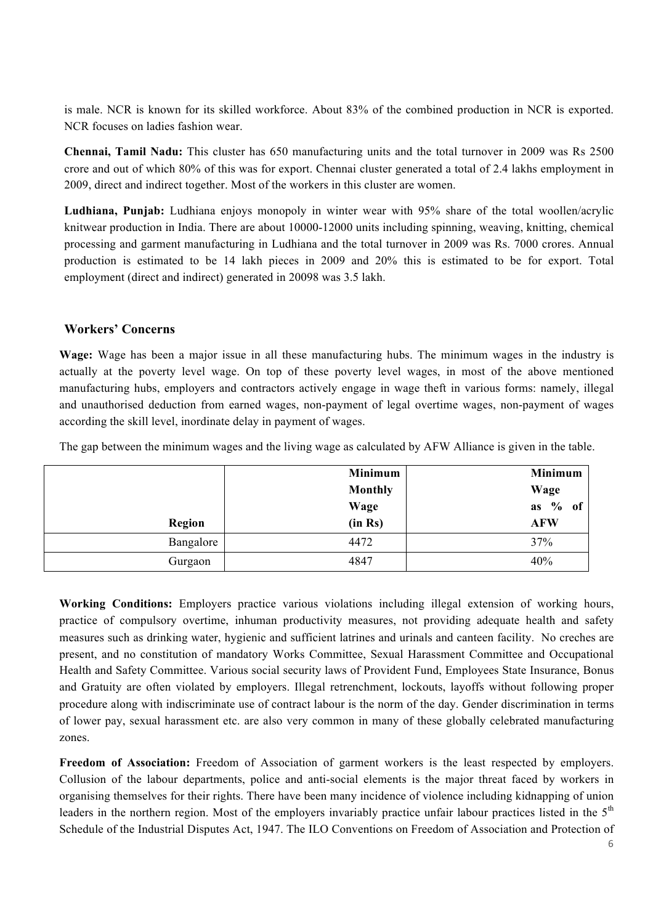is male. NCR is known for its skilled workforce. About 83% of the combined production in NCR is exported. NCR focuses on ladies fashion wear.

**Chennai, Tamil Nadu:** This cluster has 650 manufacturing units and the total turnover in 2009 was Rs 2500 crore and out of which 80% of this was for export. Chennai cluster generated a total of 2.4 lakhs employment in 2009, direct and indirect together. Most of the workers in this cluster are women.

**Ludhiana, Punjab:** Ludhiana enjoys monopoly in winter wear with 95% share of the total woollen/acrylic knitwear production in India. There are about 10000-12000 units including spinning, weaving, knitting, chemical processing and garment manufacturing in Ludhiana and the total turnover in 2009 was Rs. 7000 crores. Annual production is estimated to be 14 lakh pieces in 2009 and 20% this is estimated to be for export. Total employment (direct and indirect) generated in 20098 was 3.5 lakh.

#### **Workers' Concerns**

**Wage:** Wage has been a major issue in all these manufacturing hubs. The minimum wages in the industry is actually at the poverty level wage. On top of these poverty level wages, in most of the above mentioned manufacturing hubs, employers and contractors actively engage in wage theft in various forms: namely, illegal and unauthorised deduction from earned wages, non-payment of legal overtime wages, non-payment of wages according the skill level, inordinate delay in payment of wages.

The gap between the minimum wages and the living wage as calculated by AFW Alliance is given in the table.

|           | <b>Minimum</b> | Minimum                |
|-----------|----------------|------------------------|
|           | <b>Monthly</b> | Wage                   |
|           | Wage           | as $\frac{9}{6}$<br>of |
| Region    | (in Rs)        | <b>AFW</b>             |
| Bangalore | 4472           | 37%                    |
| Gurgaon   | 4847           | 40%                    |

**Working Conditions:** Employers practice various violations including illegal extension of working hours, practice of compulsory overtime, inhuman productivity measures, not providing adequate health and safety measures such as drinking water, hygienic and sufficient latrines and urinals and canteen facility. No creches are present, and no constitution of mandatory Works Committee, Sexual Harassment Committee and Occupational Health and Safety Committee. Various social security laws of Provident Fund, Employees State Insurance, Bonus and Gratuity are often violated by employers. Illegal retrenchment, lockouts, layoffs without following proper procedure along with indiscriminate use of contract labour is the norm of the day. Gender discrimination in terms of lower pay, sexual harassment etc. are also very common in many of these globally celebrated manufacturing zones.

**Freedom of Association:** Freedom of Association of garment workers is the least respected by employers. Collusion of the labour departments, police and anti-social elements is the major threat faced by workers in organising themselves for their rights. There have been many incidence of violence including kidnapping of union leaders in the northern region. Most of the employers invariably practice unfair labour practices listed in the  $5<sup>th</sup>$ Schedule of the Industrial Disputes Act, 1947. The ILO Conventions on Freedom of Association and Protection of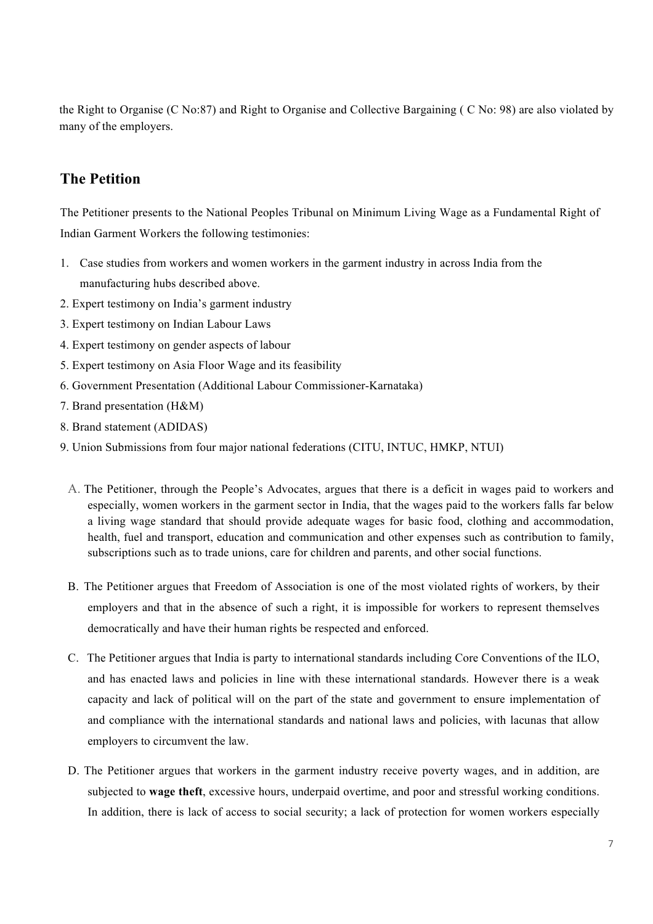the Right to Organise (C No:87) and Right to Organise and Collective Bargaining ( C No: 98) are also violated by many of the employers.

# **The Petition**

The Petitioner presents to the National Peoples Tribunal on Minimum Living Wage as a Fundamental Right of Indian Garment Workers the following testimonies:

- 1. Case studies from workers and women workers in the garment industry in across India from the manufacturing hubs described above.
- 2. Expert testimony on India's garment industry
- 3. Expert testimony on Indian Labour Laws
- 4. Expert testimony on gender aspects of labour
- 5. Expert testimony on Asia Floor Wage and its feasibility
- 6. Government Presentation (Additional Labour Commissioner-Karnataka)
- 7. Brand presentation (H&M)
- 8. Brand statement (ADIDAS)
- 9. Union Submissions from four major national federations (CITU, INTUC, HMKP, NTUI)
	- A. The Petitioner, through the People's Advocates, argues that there is a deficit in wages paid to workers and especially, women workers in the garment sector in India, that the wages paid to the workers falls far below a living wage standard that should provide adequate wages for basic food, clothing and accommodation, health, fuel and transport, education and communication and other expenses such as contribution to family, subscriptions such as to trade unions, care for children and parents, and other social functions.
	- B. The Petitioner argues that Freedom of Association is one of the most violated rights of workers, by their employers and that in the absence of such a right, it is impossible for workers to represent themselves democratically and have their human rights be respected and enforced.
	- C. The Petitioner argues that India is party to international standards including Core Conventions of the ILO, and has enacted laws and policies in line with these international standards. However there is a weak capacity and lack of political will on the part of the state and government to ensure implementation of and compliance with the international standards and national laws and policies, with lacunas that allow employers to circumvent the law.
	- D. The Petitioner argues that workers in the garment industry receive poverty wages, and in addition, are subjected to **wage theft**, excessive hours, underpaid overtime, and poor and stressful working conditions. In addition, there is lack of access to social security; a lack of protection for women workers especially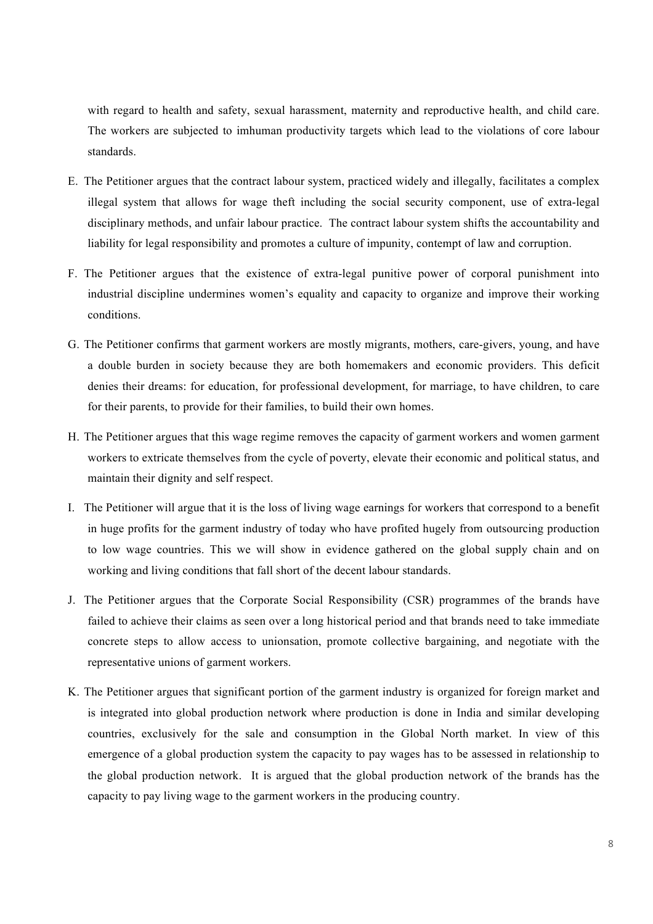with regard to health and safety, sexual harassment, maternity and reproductive health, and child care. The workers are subjected to imhuman productivity targets which lead to the violations of core labour standards.

- E. The Petitioner argues that the contract labour system, practiced widely and illegally, facilitates a complex illegal system that allows for wage theft including the social security component, use of extra-legal disciplinary methods, and unfair labour practice. The contract labour system shifts the accountability and liability for legal responsibility and promotes a culture of impunity, contempt of law and corruption.
- F. The Petitioner argues that the existence of extra-legal punitive power of corporal punishment into industrial discipline undermines women's equality and capacity to organize and improve their working conditions.
- G. The Petitioner confirms that garment workers are mostly migrants, mothers, care-givers, young, and have a double burden in society because they are both homemakers and economic providers. This deficit denies their dreams: for education, for professional development, for marriage, to have children, to care for their parents, to provide for their families, to build their own homes.
- H. The Petitioner argues that this wage regime removes the capacity of garment workers and women garment workers to extricate themselves from the cycle of poverty, elevate their economic and political status, and maintain their dignity and self respect.
- I. The Petitioner will argue that it is the loss of living wage earnings for workers that correspond to a benefit in huge profits for the garment industry of today who have profited hugely from outsourcing production to low wage countries. This we will show in evidence gathered on the global supply chain and on working and living conditions that fall short of the decent labour standards.
- J. The Petitioner argues that the Corporate Social Responsibility (CSR) programmes of the brands have failed to achieve their claims as seen over a long historical period and that brands need to take immediate concrete steps to allow access to unionsation, promote collective bargaining, and negotiate with the representative unions of garment workers.
- K. The Petitioner argues that significant portion of the garment industry is organized for foreign market and is integrated into global production network where production is done in India and similar developing countries, exclusively for the sale and consumption in the Global North market. In view of this emergence of a global production system the capacity to pay wages has to be assessed in relationship to the global production network. It is argued that the global production network of the brands has the capacity to pay living wage to the garment workers in the producing country.